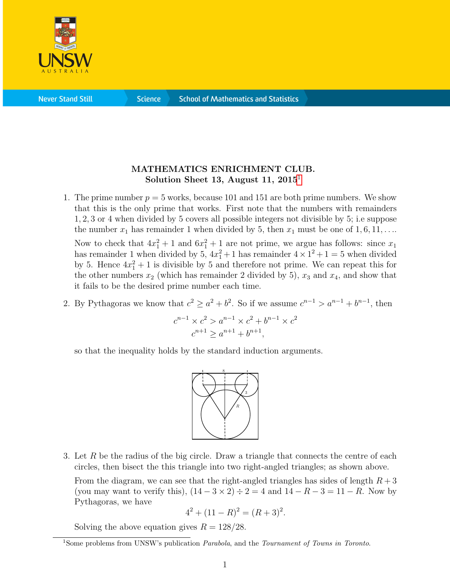

**Science** 

## MATHEMATICS ENRICHMENT CLUB. Solution Sheet [1](#page-0-0)3, August 11,  $2015<sup>1</sup>$

1. The prime number  $p = 5$  works, because 101 and 151 are both prime numbers. We show that this is the only prime that works. First note that the numbers with remainders 1, 2, 3 or 4 when divided by 5 covers all possible integers not divisible by 5; i.e suppose the number  $x_1$  has remainder 1 when divided by 5, then  $x_1$  must be one of  $1, 6, 11, \ldots$ 

Now to check that  $4x_1^2 + 1$  and  $6x_1^2 + 1$  are not prime, we argue has follows: since  $x_1$ has remainder 1 when divided by  $5, 4x_1^2 + 1$  has remainder  $4 \times 1^2 + 1 = 5$  when divided by 5. Hence  $4x_1^2 + 1$  is divisible by 5 and therefore not prime. We can repeat this for the other numbers  $x_2$  (which has remainder 2 divided by 5),  $x_3$  and  $x_4$ , and show that it fails to be the desired prime number each time.

2. By Pythagoras we know that  $c^2 \ge a^2 + b^2$ . So if we assume  $c^{n-1} > a^{n-1} + b^{n-1}$ , then

$$
c^{n-1} \times c^2 > a^{n-1} \times c^2 + b^{n-1} \times c^2
$$
  

$$
c^{n+1} \ge a^{n+1} + b^{n+1},
$$

so that the inequality holds by the standard induction arguments.



3. Let R be the radius of the big circle. Draw a triangle that connects the centre of each circles, then bisect the this triangle into two right-angled triangles; as shown above.

From the diagram, we can see that the right-angled triangles has sides of length  $R + 3$ (you may want to verify this),  $(14-3 \times 2) \div 2 = 4$  and  $14-R-3=11-R$ . Now by Pythagoras, we have

$$
4^2 + (11 - R)^2 = (R + 3)^2.
$$

Solving the above equation gives  $R = 128/28$ .

<span id="page-0-0"></span><sup>&</sup>lt;sup>1</sup>Some problems from UNSW's publication *Parabola*, and the *Tournament of Towns in Toronto*.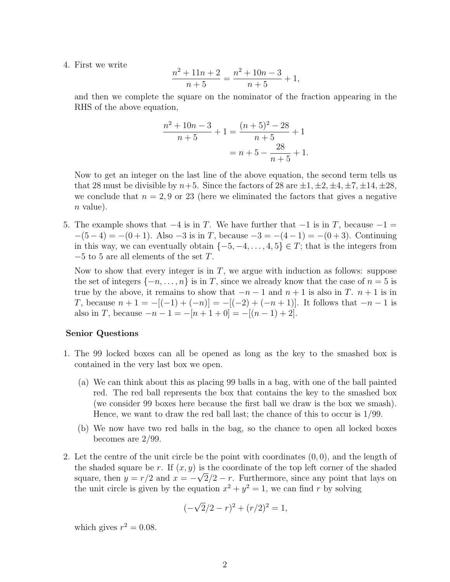4. First we write

$$
\frac{n^2 + 11n + 2}{n + 5} = \frac{n^2 + 10n - 3}{n + 5} + 1,
$$

and then we complete the square on the nominator of the fraction appearing in the RHS of the above equation,

$$
\frac{n^2 + 10n - 3}{n + 5} + 1 = \frac{(n + 5)^2 - 28}{n + 5} + 1
$$

$$
= n + 5 - \frac{28}{n + 5} + 1.
$$

Now to get an integer on the last line of the above equation, the second term tells us that 28 must be divisible by  $n+5$ . Since the factors of 28 are  $\pm 1, \pm 2, \pm 4, \pm 7, \pm 14, \pm 28$ , we conclude that  $n = 2, 9$  or 23 (here we eliminated the factors that gives a negative  $n$  value).

5. The example shows that  $-4$  is in T. We have further that  $-1$  is in T, because  $-1 =$  $-(5-4) = -(0+1)$ . Also  $-3$  is in T, because  $-3 = -(4-1) = -(0+3)$ . Continuing in this way, we can eventually obtain  $\{-5, -4, \ldots, 4, 5\} \in T$ ; that is the integers from  $-5$  to 5 are all elements of the set T.

Now to show that every integer is in  $T$ , we argue with induction as follows: suppose the set of integers  $\{-n, \ldots, n\}$  is in T, since we already know that the case of  $n = 5$  is true by the above, it remains to show that  $-n-1$  and  $n+1$  is also in T.  $n+1$  is in T, because  $n + 1 = -[(-1) + (-n)] = -[(-2) + (-n + 1)]$ . It follows that  $-n-1$  is also in T, because  $-n-1 = -[n+1+0] = -[(n-1)+2]$ .

## Senior Questions

- 1. The 99 locked boxes can all be opened as long as the key to the smashed box is contained in the very last box we open.
	- (a) We can think about this as placing 99 balls in a bag, with one of the ball painted red. The red ball represents the box that contains the key to the smashed box (we consider 99 boxes here because the first ball we draw is the box we smash). Hence, we want to draw the red ball last; the chance of this to occur is 1/99.
	- (b) We now have two red balls in the bag, so the chance to open all locked boxes becomes are 2/99.
- 2. Let the centre of the unit circle be the point with coordinates  $(0, 0)$ , and the length of the shaded square be r. If  $(x, y)$  is the coordinate of the top left corner of the shaded square, then  $y = r/2$  and  $x = -\sqrt{2}/2 - r$ . Furthermore, since any point that lays on the unit circle is given by the equation  $x^2 + y^2 = 1$ , we can find r by solving

$$
(-\sqrt{2}/2 - r)^2 + (r/2)^2 = 1,
$$

which gives  $r^2 = 0.08$ .